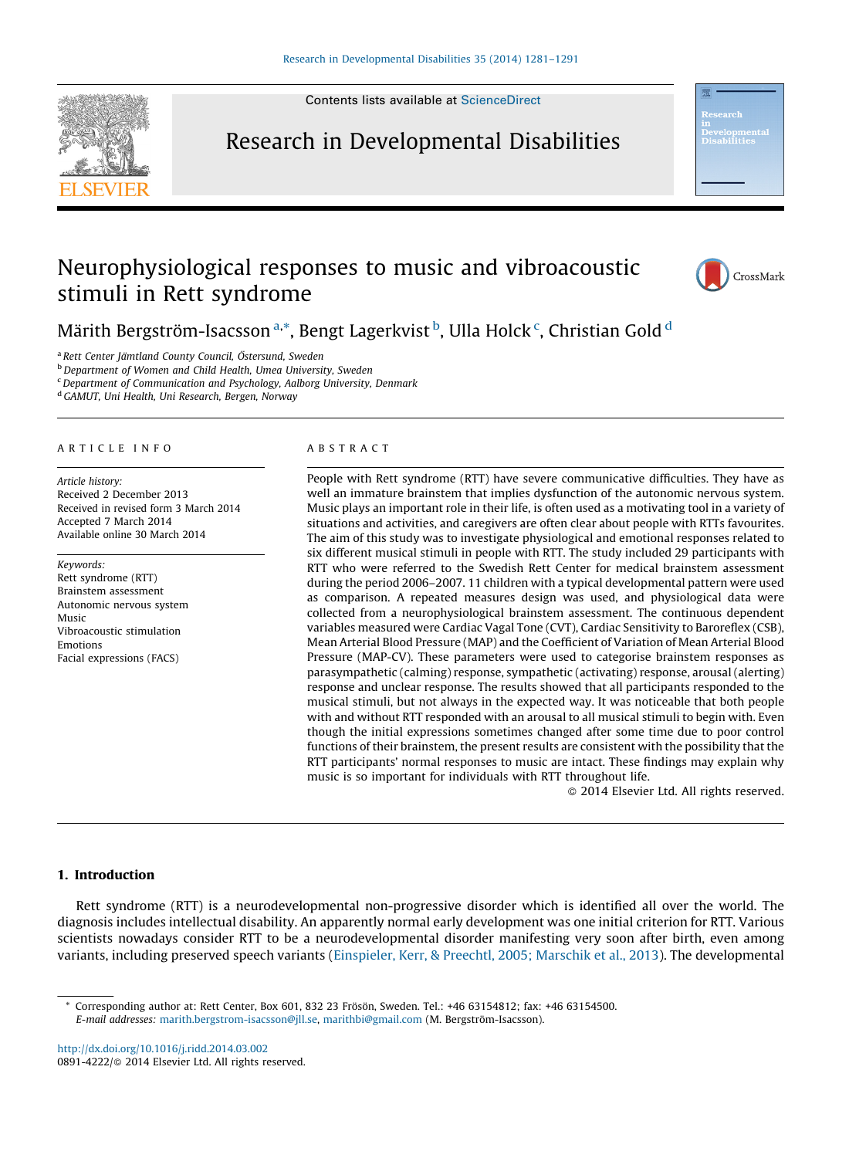Contents lists available at [ScienceDirect](http://www.sciencedirect.com/science/journal/08914222)







Märith Bergström-Isacsson <sup>a,\*</sup>, Bengt Lagerkvist <sup>b</sup>, Ulla Holck <sup>c</sup>, Christian Gold <sup>d</sup>

<sup>a</sup> Rett Center Jämtland County Council, Östersund, Sweden

**b** Department of Women and Child Health, Umea University, Sweden

 $c$  Department of Communication and Psychology, Aalborg University, Denmark

<sup>d</sup> GAMUT, Uni Health, Uni Research, Bergen, Norway

#### A R T I C L E I N F O

Article history: Received 2 December 2013 Received in revised form 3 March 2014 Accepted 7 March 2014 Available online 30 March 2014

Keywords: Rett syndrome (RTT) Brainstem assessment Autonomic nervous system Music Vibroacoustic stimulation Emotions Facial expressions (FACS)

#### A B S T R A C T

People with Rett syndrome (RTT) have severe communicative difficulties. They have as well an immature brainstem that implies dysfunction of the autonomic nervous system. Music plays an important role in their life, is often used as a motivating tool in a variety of situations and activities, and caregivers are often clear about people with RTTs favourites. The aim of this study was to investigate physiological and emotional responses related to six different musical stimuli in people with RTT. The study included 29 participants with RTT who were referred to the Swedish Rett Center for medical brainstem assessment during the period 2006–2007. 11 children with a typical developmental pattern were used as comparison. A repeated measures design was used, and physiological data were collected from a neurophysiological brainstem assessment. The continuous dependent variables measured were Cardiac Vagal Tone (CVT), Cardiac Sensitivity to Baroreflex (CSB), Mean Arterial Blood Pressure (MAP) and the Coefficient of Variation of Mean Arterial Blood Pressure (MAP-CV). These parameters were used to categorise brainstem responses as parasympathetic (calming) response, sympathetic (activating) response, arousal (alerting) response and unclear response. The results showed that all participants responded to the musical stimuli, but not always in the expected way. It was noticeable that both people with and without RTT responded with an arousal to all musical stimuli to begin with. Even though the initial expressions sometimes changed after some time due to poor control functions of their brainstem, the present results are consistent with the possibility that the RTT participants' normal responses to music are intact. These findings may explain why music is so important for individuals with RTT throughout life.

- 2014 Elsevier Ltd. All rights reserved.

## 1. Introduction

Rett syndrome (RTT) is a neurodevelopmental non-progressive disorder which is identified all over the world. The diagnosis includes intellectual disability. An apparently normal early development was one initial criterion for RTT. Various scientists nowadays consider RTT to be a neurodevelopmental disorder manifesting very soon after birth, even among variants, including preserved speech variants [\(Einspieler,](#page--1-0) Kerr, & Preechtl, 2005; Marschik et al., 2013). The developmental

<http://dx.doi.org/10.1016/j.ridd.2014.03.002> 0891-4222/© 2014 Elsevier Ltd. All rights reserved.

<sup>\*</sup> Corresponding author at: Rett Center, Box 601, 832 23 Frösön, Sweden. Tel.: +46 63154812; fax: +46 63154500. E-mail addresses: [marith.bergstrom-isacsson@jll.se,](mailto:marith.bergstrom-isacsson@jll.se) [marithbi@gmail.com](mailto:marithbi@gmail.com) (M. Bergström-Isacsson).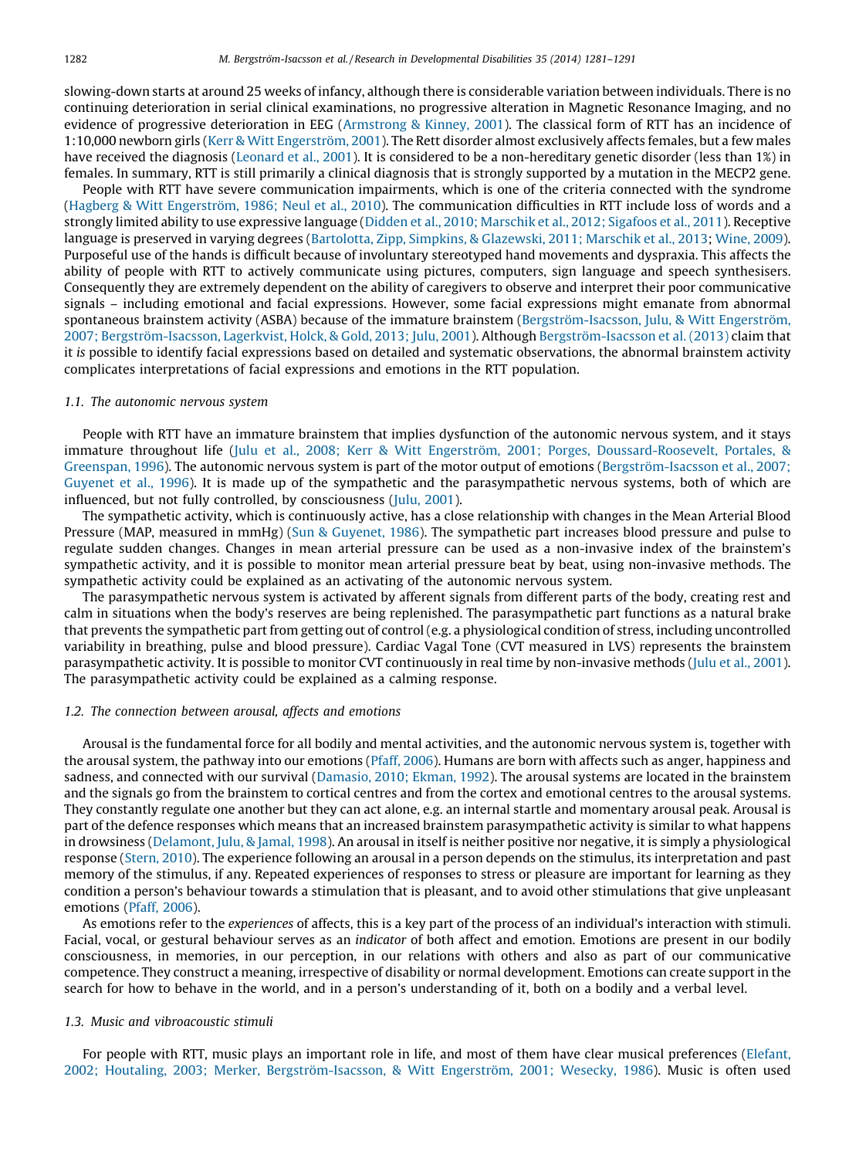slowing-down starts at around 25 weeks of infancy, although there is considerable variation between individuals. There is no continuing deterioration in serial clinical examinations, no progressive alteration in Magnetic Resonance Imaging, and no evidence of progressive deterioration in EEG [\(Armstrong](#page--1-0) & Kinney, 2001). The classical form of RTT has an incidence of 1:10,000 newborn girls (Kerr & Witt Engerström, 2001). The Rett disorder almost exclusively affects females, but a few males have received the diagnosis ([Leonard](#page--1-0) et al., 2001). It is considered to be a non-hereditary genetic disorder (less than 1%) in females. In summary, RTT is still primarily a clinical diagnosis that is strongly supported by a mutation in the MECP2 gene.

People with RTT have severe communication impairments, which is one of the criteria connected with the syndrome (Hagberg & Witt Engerström, 1986; Neul et al., 2010). The communication difficulties in RTT include loss of words and a strongly limited ability to use expressive language (Didden et al., 2010; [Marschik](#page--1-0) et al., 2012; Sigafoos et al., 2011). Receptive language is preserved in varying degrees (Bartolotta, Zipp, Simpkins, & [Glazewski,](#page--1-0) 2011; Marschik et al., 2013; [Wine,](#page--1-0) 2009). Purposeful use of the hands is difficult because of involuntary stereotyped hand movements and dyspraxia. This affects the ability of people with RTT to actively communicate using pictures, computers, sign language and speech synthesisers. Consequently they are extremely dependent on the ability of caregivers to observe and interpret their poor communicative signals – including emotional and facial expressions. However, some facial expressions might emanate from abnormal spontaneous brainstem activity (ASBA) because of the immature brainstem (Bergström-Isacsson, Julu, & Witt Engerström, 2007; Bergström-Isacsson, Lagerkvist, Holck, & Gold, 2013; Julu, 2001). Although Bergström-Isacsson et al. (2013) claim that it is possible to identify facial expressions based on detailed and systematic observations, the abnormal brainstem activity complicates interpretations of facial expressions and emotions in the RTT population.

### 1.1. The autonomic nervous system

People with RTT have an immature brainstem that implies dysfunction of the autonomic nervous system, and it stays immature throughout life (Julu et al., 2008; Kerr & Witt Engerström, 2001; Porges, [Doussard-Roosevelt,](#page--1-0) Portales, & [Greenspan,](#page--1-0) 1996). The autonomic nervous system is part of the motor output of emotions (Bergström-Isacsson et al., 2007; [Guyenet](#page--1-0) et al., 1996). It is made up of the sympathetic and the parasympathetic nervous systems, both of which are influenced, but not fully controlled, by consciousness (Julu, [2001\)](#page--1-0).

The sympathetic activity, which is continuously active, has a close relationship with changes in the Mean Arterial Blood Pressure (MAP, measured in mmHg) (Sun & [Guyenet,](#page--1-0) 1986). The sympathetic part increases blood pressure and pulse to regulate sudden changes. Changes in mean arterial pressure can be used as a non-invasive index of the brainstem's sympathetic activity, and it is possible to monitor mean arterial pressure beat by beat, using non-invasive methods. The sympathetic activity could be explained as an activating of the autonomic nervous system.

The parasympathetic nervous system is activated by afferent signals from different parts of the body, creating rest and calm in situations when the body's reserves are being replenished. The parasympathetic part functions as a natural brake that prevents the sympathetic part from getting out of control (e.g. a physiological condition of stress, including uncontrolled variability in breathing, pulse and blood pressure). Cardiac Vagal Tone (CVT measured in LVS) represents the brainstem parasympathetic activity. It is possible to monitor CVT continuously in real time by non-invasive methods (Julu et al., [2001](#page--1-0)). The parasympathetic activity could be explained as a calming response.

# 1.2. The connection between arousal, affects and emotions

Arousal is the fundamental force for all bodily and mental activities, and the autonomic nervous system is, together with the arousal system, the pathway into our emotions (Pfaff, [2006\)](#page--1-0). Humans are born with affects such as anger, happiness and sadness, and connected with our survival [\(Damasio,](#page--1-0) 2010; Ekman, 1992). The arousal systems are located in the brainstem and the signals go from the brainstem to cortical centres and from the cortex and emotional centres to the arousal systems. They constantly regulate one another but they can act alone, e.g. an internal startle and momentary arousal peak. Arousal is part of the defence responses which means that an increased brainstem parasympathetic activity is similar to what happens in drowsiness [\(Delamont,](#page--1-0) Julu, & Jamal, 1998). An arousal in itself is neither positive nor negative, it is simply a physiological response [\(Stern,](#page--1-0) 2010). The experience following an arousal in a person depends on the stimulus, its interpretation and past memory of the stimulus, if any. Repeated experiences of responses to stress or pleasure are important for learning as they condition a person's behaviour towards a stimulation that is pleasant, and to avoid other stimulations that give unpleasant emotions (Pfaff, [2006\)](#page--1-0).

As emotions refer to the experiences of affects, this is a key part of the process of an individual's interaction with stimuli. Facial, vocal, or gestural behaviour serves as an indicator of both affect and emotion. Emotions are present in our bodily consciousness, in memories, in our perception, in our relations with others and also as part of our communicative competence. They construct a meaning, irrespective of disability or normal development. Emotions can create support in the search for how to behave in the world, and in a person's understanding of it, both on a bodily and a verbal level.

#### 1.3. Music and vibroacoustic stimuli

For people with RTT, music plays an important role in life, and most of them have clear musical preferences ([Elefant,](#page--1-0) 2002; Houtaling, 2003; Merker, Bergström-Isacsson, & Witt Engerström, 2001; Wesecky, 1986). Music is often used